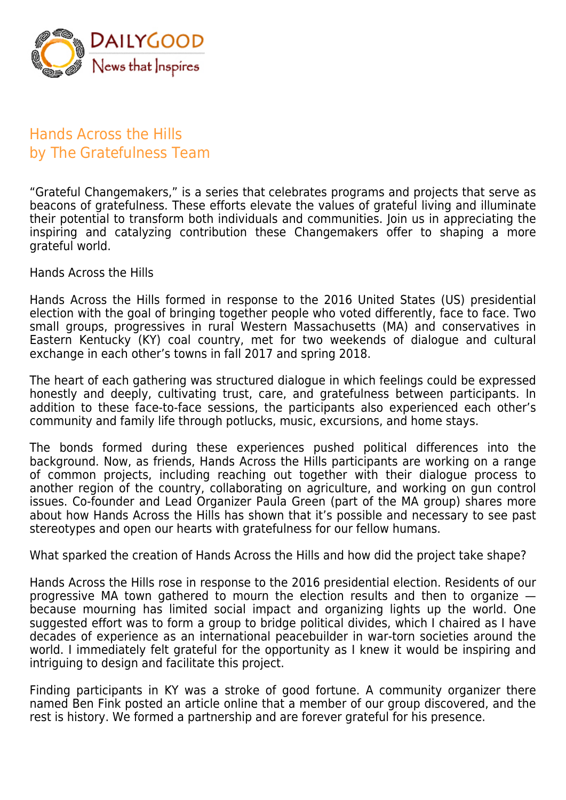

## Hands Across the Hills by The Gratefulness Team

"Grateful Changemakers," is a series that celebrates programs and projects that serve as beacons of gratefulness. These efforts elevate the values of grateful living and illuminate their potential to transform both individuals and communities. Join us in appreciating the inspiring and catalyzing contribution these Changemakers offer to shaping a more grateful world.

Hands Across the Hills

Hands Across the Hills formed in response to the 2016 United States (US) presidential election with the goal of bringing together people who voted differently, face to face. Two small groups, progressives in rural Western Massachusetts (MA) and conservatives in Eastern Kentucky (KY) coal country, met for two weekends of dialogue and cultural exchange in each other's towns in fall 2017 and spring 2018.

The heart of each gathering was structured dialogue in which feelings could be expressed honestly and deeply, cultivating trust, care, and gratefulness between participants. In addition to these face-to-face sessions, the participants also experienced each other's community and family life through potlucks, music, excursions, and home stays.

The bonds formed during these experiences pushed political differences into the background. Now, as friends, Hands Across the Hills participants are working on a range of common projects, including reaching out together with their dialogue process to another region of the country, collaborating on agriculture, and working on gun control issues. Co-founder and Lead Organizer Paula Green (part of the MA group) shares more about how Hands Across the Hills has shown that it's possible and necessary to see past stereotypes and open our hearts with gratefulness for our fellow humans.

What sparked the creation of Hands Across the Hills and how did the project take shape?

Hands Across the Hills rose in response to the 2016 presidential election. Residents of our progressive MA town gathered to mourn the election results and then to organize because mourning has limited social impact and organizing lights up the world. One suggested effort was to form a group to bridge political divides, which I chaired as I have decades of experience as an international peacebuilder in war-torn societies around the world. I immediately felt grateful for the opportunity as I knew it would be inspiring and intriguing to design and facilitate this project.

Finding participants in KY was a stroke of good fortune. A community organizer there named Ben Fink posted an article online that a member of our group discovered, and the rest is history. We formed a partnership and are forever grateful for his presence.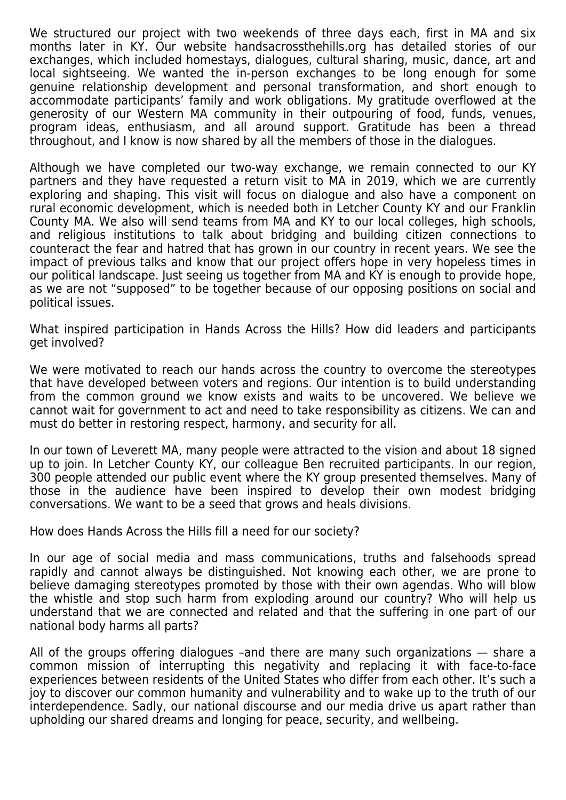We structured our project with two weekends of three days each, first in MA and six months later in KY. Our website handsacrossthehills.org has detailed stories of our exchanges, which included homestays, dialogues, cultural sharing, music, dance, art and local sightseeing. We wanted the in-person exchanges to be long enough for some genuine relationship development and personal transformation, and short enough to accommodate participants' family and work obligations. My gratitude overflowed at the generosity of our Western MA community in their outpouring of food, funds, venues, program ideas, enthusiasm, and all around support. Gratitude has been a thread throughout, and I know is now shared by all the members of those in the dialogues.

Although we have completed our two-way exchange, we remain connected to our KY partners and they have requested a return visit to MA in 2019, which we are currently exploring and shaping. This visit will focus on dialogue and also have a component on rural economic development, which is needed both in Letcher County KY and our Franklin County MA. We also will send teams from MA and KY to our local colleges, high schools, and religious institutions to talk about bridging and building citizen connections to counteract the fear and hatred that has grown in our country in recent years. We see the impact of previous talks and know that our project offers hope in very hopeless times in our political landscape. Just seeing us together from MA and KY is enough to provide hope, as we are not "supposed" to be together because of our opposing positions on social and political issues.

What inspired participation in Hands Across the Hills? How did leaders and participants get involved?

We were motivated to reach our hands across the country to overcome the stereotypes that have developed between voters and regions. Our intention is to build understanding from the common ground we know exists and waits to be uncovered. We believe we cannot wait for government to act and need to take responsibility as citizens. We can and must do better in restoring respect, harmony, and security for all.

In our town of Leverett MA, many people were attracted to the vision and about 18 signed up to join. In Letcher County KY, our colleague Ben recruited participants. In our region, 300 people attended our public event where the KY group presented themselves. Many of those in the audience have been inspired to develop their own modest bridging conversations. We want to be a seed that grows and heals divisions.

How does Hands Across the Hills fill a need for our society?

In our age of social media and mass communications, truths and falsehoods spread rapidly and cannot always be distinguished. Not knowing each other, we are prone to believe damaging stereotypes promoted by those with their own agendas. Who will blow the whistle and stop such harm from exploding around our country? Who will help us understand that we are connected and related and that the suffering in one part of our national body harms all parts?

All of the groups offering dialogues –and there are many such organizations — share a common mission of interrupting this negativity and replacing it with face-to-face experiences between residents of the United States who differ from each other. It's such a joy to discover our common humanity and vulnerability and to wake up to the truth of our interdependence. Sadly, our national discourse and our media drive us apart rather than upholding our shared dreams and longing for peace, security, and wellbeing.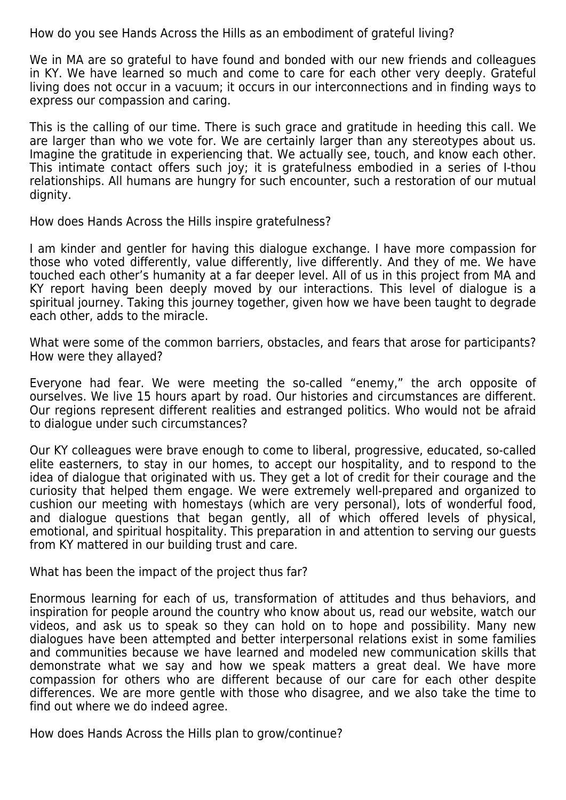How do you see Hands Across the Hills as an embodiment of grateful living?

We in MA are so grateful to have found and bonded with our new friends and colleagues in KY. We have learned so much and come to care for each other very deeply. Grateful living does not occur in a vacuum; it occurs in our interconnections and in finding ways to express our compassion and caring.

This is the calling of our time. There is such grace and gratitude in heeding this call. We are larger than who we vote for. We are certainly larger than any stereotypes about us. Imagine the gratitude in experiencing that. We actually see, touch, and know each other. This intimate contact offers such joy; it is gratefulness embodied in a series of I-thou relationships. All humans are hungry for such encounter, such a restoration of our mutual dignity.

How does Hands Across the Hills inspire gratefulness?

I am kinder and gentler for having this dialogue exchange. I have more compassion for those who voted differently, value differently, live differently. And they of me. We have touched each other's humanity at a far deeper level. All of us in this project from MA and KY report having been deeply moved by our interactions. This level of dialogue is a spiritual journey. Taking this journey together, given how we have been taught to degrade each other, adds to the miracle.

What were some of the common barriers, obstacles, and fears that arose for participants? How were they allayed?

Everyone had fear. We were meeting the so-called "enemy," the arch opposite of ourselves. We live 15 hours apart by road. Our histories and circumstances are different. Our regions represent different realities and estranged politics. Who would not be afraid to dialogue under such circumstances?

Our KY colleagues were brave enough to come to liberal, progressive, educated, so-called elite easterners, to stay in our homes, to accept our hospitality, and to respond to the idea of dialogue that originated with us. They get a lot of credit for their courage and the curiosity that helped them engage. We were extremely well-prepared and organized to cushion our meeting with homestays (which are very personal), lots of wonderful food, and dialogue questions that began gently, all of which offered levels of physical, emotional, and spiritual hospitality. This preparation in and attention to serving our guests from KY mattered in our building trust and care.

What has been the impact of the project thus far?

Enormous learning for each of us, transformation of attitudes and thus behaviors, and inspiration for people around the country who know about us, read our website, watch our videos, and ask us to speak so they can hold on to hope and possibility. Many new dialogues have been attempted and better interpersonal relations exist in some families and communities because we have learned and modeled new communication skills that demonstrate what we say and how we speak matters a great deal. We have more compassion for others who are different because of our care for each other despite differences. We are more gentle with those who disagree, and we also take the time to find out where we do indeed agree.

How does Hands Across the Hills plan to grow/continue?